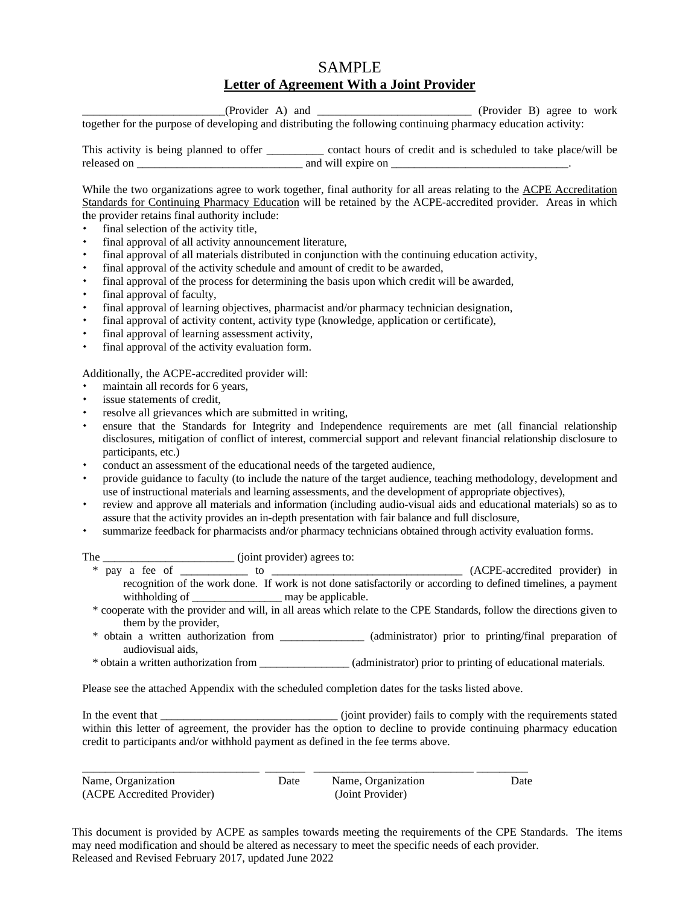## SAMPLE **Letter of Agreement With a Joint Provider**

(Provider A) and  $(Product B)$  agree to work together for the purpose of developing and distributing the following continuing pharmacy education activity:

This activity is being planned to offer \_\_\_\_\_\_\_\_\_\_ contact hours of credit and is scheduled to take place/will be released on \_\_\_\_\_\_\_\_\_\_\_\_\_\_\_\_\_\_\_\_\_\_\_\_\_\_\_\_\_ and will expire on \_\_\_\_\_\_\_\_\_\_\_\_\_\_\_\_\_\_\_\_\_\_\_\_\_\_\_\_\_\_\_.

While the two organizations agree to work together, final authority for all areas relating to the ACPE Accreditation Standards for Continuing Pharmacy Education will be retained by the ACPE-accredited provider. Areas in which the provider retains final authority include:

- final selection of the activity title,
- final approval of all activity announcement literature,
- final approval of all materials distributed in conjunction with the continuing education activity,
- final approval of the activity schedule and amount of credit to be awarded,
- final approval of the process for determining the basis upon which credit will be awarded,
- final approval of faculty,
- final approval of learning objectives, pharmacist and/or pharmacy technician designation,
- final approval of activity content, activity type (knowledge, application or certificate),
- final approval of learning assessment activity,
- final approval of the activity evaluation form.

Additionally, the ACPE-accredited provider will:

- maintain all records for 6 years,
- issue statements of credit,
- resolve all grievances which are submitted in writing,
- ensure that the Standards for Integrity and Independence requirements are met (all financial relationship disclosures, mitigation of conflict of interest, commercial support and relevant financial relationship disclosure to participants, etc.)
- conduct an assessment of the educational needs of the targeted audience,
- provide guidance to faculty (to include the nature of the target audience, teaching methodology, development and use of instructional materials and learning assessments, and the development of appropriate objectives),
- review and approve all materials and information (including audio-visual aids and educational materials) so as to assure that the activity provides an in-depth presentation with fair balance and full disclosure,
- summarize feedback for pharmacists and/or pharmacy technicians obtained through activity evaluation forms.

| The | (joint provider) agrees to:                                                                                        |                                                                                                                        |
|-----|--------------------------------------------------------------------------------------------------------------------|------------------------------------------------------------------------------------------------------------------------|
|     | pay a fee of to                                                                                                    | (ACPE-accredited provider) in                                                                                          |
|     |                                                                                                                    | recognition of the work done. If work is not done satisfactorily or according to defined timelines, a payment          |
|     |                                                                                                                    |                                                                                                                        |
|     |                                                                                                                    | * cooperate with the provider and will, in all areas which relate to the CPE Standards, follow the directions given to |
|     | them by the provider,                                                                                              |                                                                                                                        |
|     | $\mathbf{a}$ and $\mathbf{a}$ and $\mathbf{a}$ and $\mathbf{a}$ and $\mathbf{a}$ and $\mathbf{a}$ and $\mathbf{a}$ |                                                                                                                        |

- \* obtain a written authorization from \_\_\_\_\_\_\_\_\_\_\_\_\_\_\_ (administrator) prior to printing/final preparation of audiovisual aids,
- \* obtain a written authorization from \_\_\_\_\_\_\_\_\_\_\_\_\_\_\_\_ (administrator) prior to printing of educational materials.

Please see the attached Appendix with the scheduled completion dates for the tasks listed above.

In the event that \_\_\_\_\_\_\_\_\_\_\_\_\_\_\_\_\_\_\_\_\_\_\_\_\_\_\_\_\_\_\_ (joint provider) fails to comply with the requirements stated within this letter of agreement, the provider has the option to decline to provide continuing pharmacy education credit to participants and/or withhold payment as defined in the fee terms above.

| Name, Organization         | Date | Name, Organization | Date |
|----------------------------|------|--------------------|------|
| (ACPE Accredited Provider) |      | (Joint Provider)   |      |

This document is provided by ACPE as samples towards meeting the requirements of the CPE Standards. The items may need modification and should be altered as necessary to meet the specific needs of each provider. Released and Revised February 2017, updated June 2022